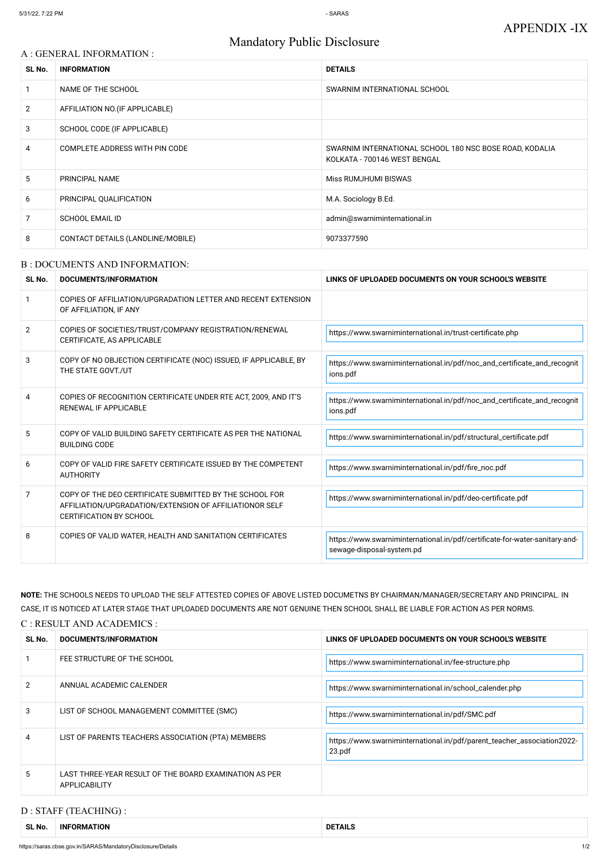# Mandatory Public Disclosure

#### A : GENERAL INFORMATION :

| SL No.         | <b>INFORMATION</b>                | <b>DETAILS</b>                                                                          |
|----------------|-----------------------------------|-----------------------------------------------------------------------------------------|
|                | NAME OF THE SCHOOL                | SWARNIM INTERNATIONAL SCHOOL                                                            |
| $\overline{2}$ | AFFILIATION NO. (IF APPLICABLE)   |                                                                                         |
| 3              | SCHOOL CODE (IF APPLICABLE)       |                                                                                         |
| 4              | COMPLETE ADDRESS WITH PIN CODE    | SWARNIM INTERNATIONAL SCHOOL 180 NSC BOSE ROAD, KODALIA<br>KOLKATA - 700146 WEST BENGAL |
| 5              | PRINCIPAL NAME                    | <b>Miss RUMJHUMI BISWAS</b>                                                             |
| 6              | PRINCIPAL QUALIFICATION           | M.A. Sociology B.Ed.                                                                    |
| 7              | <b>SCHOOL EMAIL ID</b>            | admin@swarniminternational.in                                                           |
| 8              | CONTACT DETAILS (LANDLINE/MOBILE) | 9073377590                                                                              |

#### B : DOCUMENTS AND INFORMATION:

| SL No. | DOCUMENTS/INFORMATION                                                                                                                                | LINKS OF UPLOADED DOCUMENTS ON YOUR SCHOOL'S WEBSITE                                                     |  |
|--------|------------------------------------------------------------------------------------------------------------------------------------------------------|----------------------------------------------------------------------------------------------------------|--|
|        | COPIES OF AFFILIATION/UPGRADATION LETTER AND RECENT EXTENSION<br>OF AFFILIATION, IF ANY                                                              |                                                                                                          |  |
| 2      | COPIES OF SOCIETIES/TRUST/COMPANY REGISTRATION/RENEWAL<br>CERTIFICATE, AS APPLICABLE                                                                 | https://www.swarniminternational.in/trust-certificate.php                                                |  |
| 3      | COPY OF NO OBJECTION CERTIFICATE (NOC) ISSUED, IF APPLICABLE, BY<br>THE STATE GOVT./UT                                                               | https://www.swarniminternational.in/pdf/noc_and_certificate_and_recognit<br>ions.pdf                     |  |
| 4      | COPIES OF RECOGNITION CERTIFICATE UNDER RTE ACT, 2009, AND IT'S<br>RENEWAL IF APPLICABLE                                                             | https://www.swarniminternational.in/pdf/noc_and_certificate_and_recognit<br>ions.pdf                     |  |
| 5      | COPY OF VALID BUILDING SAFETY CERTIFICATE AS PER THE NATIONAL<br><b>BUILDING CODE</b>                                                                | https://www.swarniminternational.in/pdf/structural_certificate.pdf                                       |  |
| 6      | COPY OF VALID FIRE SAFETY CERTIFICATE ISSUED BY THE COMPETENT<br><b>AUTHORITY</b>                                                                    | https://www.swarniminternational.in/pdf/fire_noc.pdf                                                     |  |
| 7      | COPY OF THE DEO CERTIFICATE SUBMITTED BY THE SCHOOL FOR<br>AFFILIATION/UPGRADATION/EXTENSION OF AFFILIATIONOR SELF<br><b>CERTIFICATION BY SCHOOL</b> | https://www.swarniminternational.in/pdf/deo-certificate.pdf                                              |  |
| 8      | COPIES OF VALID WATER, HEALTH AND SANITATION CERTIFICATES                                                                                            | https://www.swarniminternational.in/pdf/certificate-for-water-sanitary-and-<br>sewage-disposal-system.pd |  |

|    | FEE STRUCTURE OF THE SCHOOL                                             | https://www.swarniminternational.in/fee-structure.php                             |
|----|-------------------------------------------------------------------------|-----------------------------------------------------------------------------------|
| 2  | ANNUAL ACADEMIC CALENDER                                                | https://www.swarniminternational.in/school_calender.php                           |
| 3  | LIST OF SCHOOL MANAGEMENT COMMITTEE (SMC)                               | https://www.swarniminternational.in/pdf/SMC.pdf                                   |
| 4  | LIST OF PARENTS TEACHERS ASSOCIATION (PTA) MEMBERS                      | https://www.swarniminternational.in/pdf/parent_teacher_association2022-<br>23.pdf |
| 5. | LAST THREE-YEAR RESULT OF THE BOARD EXAMINATION AS PER<br>APPLICABILITY |                                                                                   |

**NOTE:** THE SCHOOLS NEEDS TO UPLOAD THE SELF ATTESTED COPIES OF ABOVE LISTED DOCUMETNS BY CHAIRMAN/MANAGER/SECRETARY AND PRINCIPAL. IN CASE, IT IS NOTICED AT LATER STAGE THAT UPLOADED DOCUMENTS ARE NOT GENUINE THEN SCHOOL SHALL BE LIABLE FOR ACTION AS PER NORMS.

C : RESULT AND ACADEMICS :

### D : STAFF (TEACHING) :

| <b>CLIM</b> | <b>ORMATION</b> | . I AILS |
|-------------|-----------------|----------|
| SL No       | <b>INF</b>      | ע        |
|             |                 |          |
|             |                 |          |